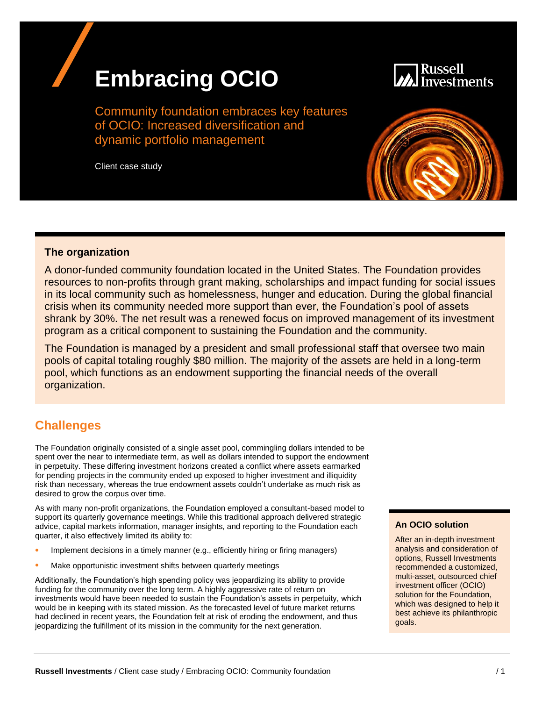# **Embracing OCIO**



Community foundation embraces key features of OCIO: Increased diversification and dynamic portfolio management

Client case study



#### **The organization**

A donor-funded community foundation located in the United States. The Foundation provides resources to non-profits through grant making, scholarships and impact funding for social issues in its local community such as homelessness, hunger and education. During the global financial crisis when its community needed more support than ever, the Foundation's pool of assets shrank by 30%. The net result was a renewed focus on improved management of its investment program as a critical component to sustaining the Foundation and the community.

The Foundation is managed by a president and small professional staff that oversee two main pools of capital totaling roughly \$80 million. The majority of the assets are held in a long-term pool, which functions as an endowment supporting the financial needs of the overall organization.

## **Challenges**

The Foundation originally consisted of a single asset pool, commingling dollars intended to be spent over the near to intermediate term, as well as dollars intended to support the endowment in perpetuity. These differing investment horizons created a conflict where assets earmarked for pending projects in the community ended up exposed to higher investment and illiquidity risk than necessary, whereas the true endowment assets couldn't undertake as much risk as desired to grow the corpus over time.

As with many non-profit organizations, the Foundation employed a consultant-based model to support its quarterly governance meetings. While this traditional approach delivered strategic advice, capital markets information, manager insights, and reporting to the Foundation each quarter, it also effectively limited its ability to:

- Implement decisions in a timely manner (e.g., efficiently hiring or firing managers)
- Make opportunistic investment shifts between quarterly meetings

Additionally, the Foundation's high spending policy was jeopardizing its ability to provide funding for the community over the long term. A highly aggressive rate of return on investments would have been needed to sustain the Foundation's assets in perpetuity, which would be in keeping with its stated mission. As the forecasted level of future market returns had declined in recent years, the Foundation felt at risk of eroding the endowment, and thus jeopardizing the fulfillment of its mission in the community for the next generation.

#### **An OCIO solution**

After an in-depth investment analysis and consideration of options, Russell Investments recommended a customized, multi-asset, outsourced chief investment officer (OCIO) solution for the Foundation, which was designed to help it best achieve its philanthropic goals.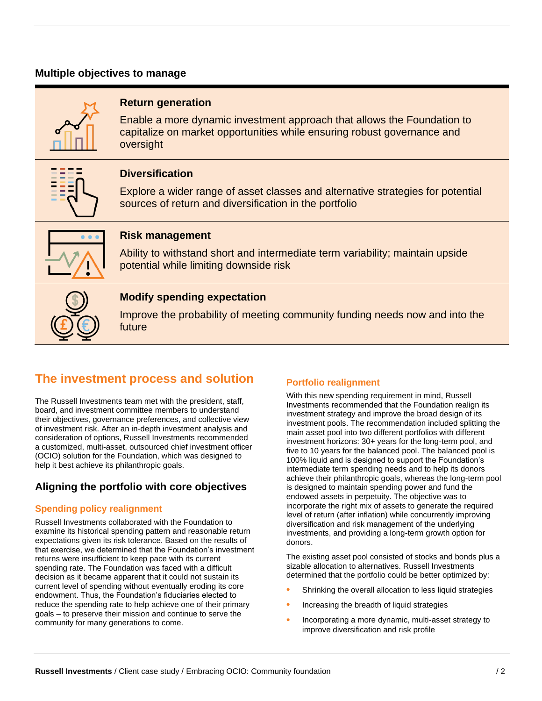## **Multiple objectives to manage**



## **Return generation**

Enable a more dynamic investment approach that allows the Foundation to capitalize on market opportunities while ensuring robust governance and oversight



## **Diversification**

Explore a wider range of asset classes and alternative strategies for potential sources of return and diversification in the portfolio



## **Risk management**

Ability to withstand short and intermediate term variability; maintain upside potential while limiting downside risk

| J      |   |  |
|--------|---|--|
| l<br>l | J |  |

## **Modify spending expectation**

Improve the probability of meeting community funding needs now and into the future

# **The investment process and solution**

The Russell Investments team met with the president, staff, board, and investment committee members to understand their objectives, governance preferences, and collective view of investment risk. After an in-depth investment analysis and consideration of options, Russell Investments recommended a customized, multi-asset, outsourced chief investment officer (OCIO) solution for the Foundation, which was designed to help it best achieve its philanthropic goals.

## **Aligning the portfolio with core objectives**

## **Spending policy realignment**

Russell Investments collaborated with the Foundation to examine its historical spending pattern and reasonable return expectations given its risk tolerance. Based on the results of that exercise, we determined that the Foundation's investment returns were insufficient to keep pace with its current spending rate. The Foundation was faced with a difficult decision as it became apparent that it could not sustain its current level of spending without eventually eroding its core endowment. Thus, the Foundation's fiduciaries elected to reduce the spending rate to help achieve one of their primary goals – to preserve their mission and continue to serve the community for many generations to come.

## **Portfolio realignment**

With this new spending requirement in mind, Russell Investments recommended that the Foundation realign its investment strategy and improve the broad design of its investment pools. The recommendation included splitting the main asset pool into two different portfolios with different investment horizons: 30+ years for the long-term pool, and five to 10 years for the balanced pool. The balanced pool is 100% liquid and is designed to support the Foundation's intermediate term spending needs and to help its donors achieve their philanthropic goals, whereas the long-term pool is designed to maintain spending power and fund the endowed assets in perpetuity. The objective was to incorporate the right mix of assets to generate the required level of return (after inflation) while concurrently improving diversification and risk management of the underlying investments, and providing a long-term growth option for donors.

The existing asset pool consisted of stocks and bonds plus a sizable allocation to alternatives. Russell Investments determined that the portfolio could be better optimized by:

- Shrinking the overall allocation to less liquid strategies
- Increasing the breadth of liquid strategies
- Incorporating a more dynamic, multi-asset strategy to improve diversification and risk profile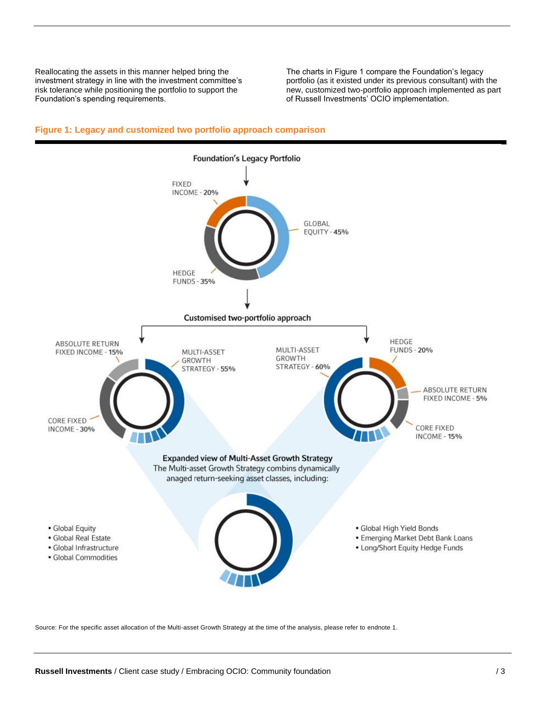Reallocating the assets in this manner helped bring the investment strategy in line with the investment committee's risk tolerance while positioning the portfolio to support the Foundation's spending requirements.

The charts in Figure 1 compare the Foundation's legacy portfolio (as it existed under its previous consultant) with the new, customized two-portfolio approach implemented as part of Russell Investments' OCIO implementation.



#### **Figure 1: Legacy and customized two portfolio approach comparison**

Source: For the specific asset allocation of the Multi-asset Growth Strategy at the time of the analysis, please refer to endnote 1.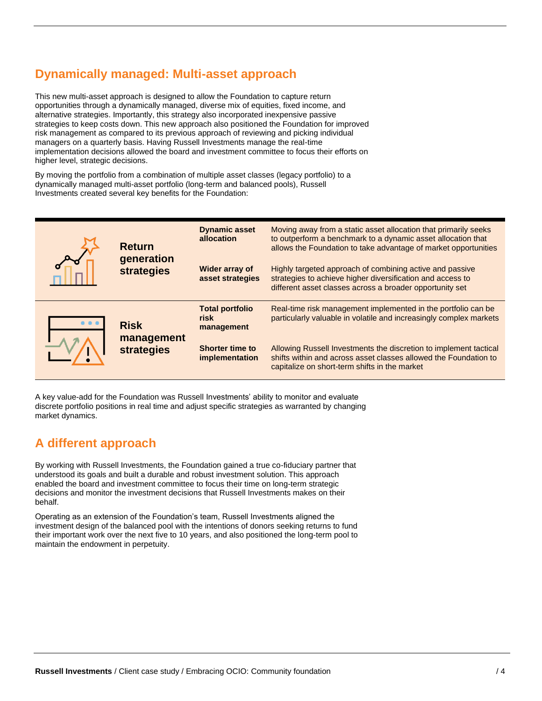# **Dynamically managed: Multi-asset approach**

This new multi-asset approach is designed to allow the Foundation to capture return opportunities through a dynamically managed, diverse mix of equities, fixed income, and alternative strategies. Importantly, this strategy also incorporated inexpensive passive strategies to keep costs down. This new approach also positioned the Foundation for improved risk management as compared to its previous approach of reviewing and picking individual managers on a quarterly basis. Having Russell Investments manage the real-time implementation decisions allowed the board and investment committee to focus their efforts on higher level, strategic decisions.

By moving the portfolio from a combination of multiple asset classes (legacy portfolio) to a dynamically managed multi-asset portfolio (long-term and balanced pools), Russell Investments created several key benefits for the Foundation:

| <b>Return</b><br>generation<br>strategies | <b>Dynamic asset</b><br>allocation             | Moving away from a static asset allocation that primarily seeks<br>to outperform a benchmark to a dynamic asset allocation that<br>allows the Foundation to take advantage of market opportunities |                                                                                                                                                                                        |
|-------------------------------------------|------------------------------------------------|----------------------------------------------------------------------------------------------------------------------------------------------------------------------------------------------------|----------------------------------------------------------------------------------------------------------------------------------------------------------------------------------------|
|                                           |                                                | Wider array of<br>asset strategies                                                                                                                                                                 | Highly targeted approach of combining active and passive<br>strategies to achieve higher diversification and access to<br>different asset classes across a broader opportunity set     |
|                                           | <b>Risk</b><br>management<br><b>strategies</b> | <b>Total portfolio</b><br>risk<br>management                                                                                                                                                       | Real-time risk management implemented in the portfolio can be<br>particularly valuable in volatile and increasingly complex markets                                                    |
|                                           |                                                | <b>Shorter time to</b><br>implementation                                                                                                                                                           | Allowing Russell Investments the discretion to implement tactical<br>shifts within and across asset classes allowed the Foundation to<br>capitalize on short-term shifts in the market |

A key value-add for the Foundation was Russell Investments' ability to monitor and evaluate discrete portfolio positions in real time and adjust specific strategies as warranted by changing market dynamics.

# **A different approach**

By working with Russell Investments, the Foundation gained a true co-fiduciary partner that understood its goals and built a durable and robust investment solution. This approach enabled the board and investment committee to focus their time on long-term strategic decisions and monitor the investment decisions that Russell Investments makes on their behalf.

Operating as an extension of the Foundation's team, Russell Investments aligned the investment design of the balanced pool with the intentions of donors seeking returns to fund their important work over the next five to 10 years, and also positioned the long-term pool to maintain the endowment in perpetuity.